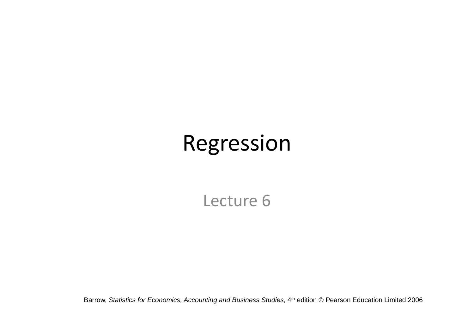# Regression

Lecture 6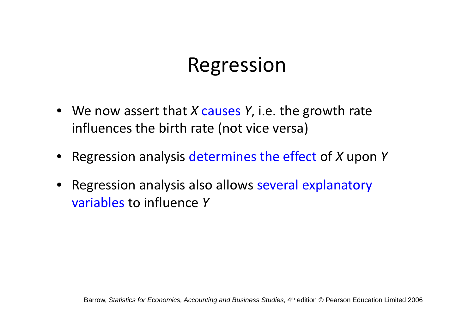#### Regression

- We now assert that *X* causes *Y*, i.e. the growth rate influences the birth rate (not vice versa)
- Regression analysis determines the effect of *X* upon *Y*
- Regression analysis also allows several explanatory variables to influence *Y*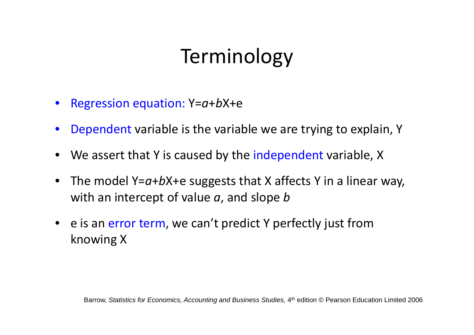# Terminology

- Regression equation: Y=*a*<sup>+</sup>*b*X+e
- •Dependent variable is the variable we are trying to explain, Y
- We assert that Y is caused by the independent variable, X
- • The model Y=*a*<sup>+</sup>*b*X+e suggests that X affects Y in <sup>a</sup> linear way, with an intercept of value *<sup>a</sup>*, and slope *b*
- e is an error term, we can't predict Y perfectly just from knowing X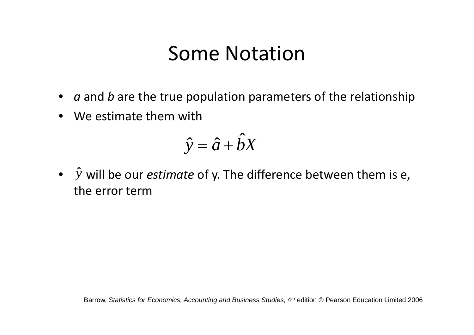#### Some Notation

- *a* and *b* are the true population parameters of the relationship
- We estimate them with

$$
\hat{y} = \hat{a} + \hat{b}X
$$

•  $\hat{y}$  will be our *estimate* of y. The difference between them is e, the error term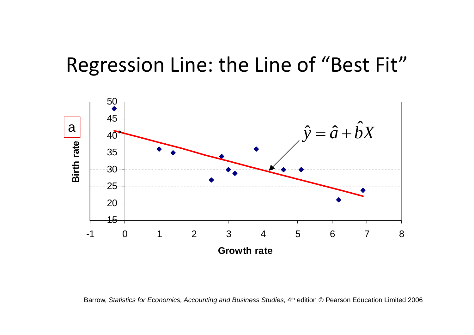#### Regression Line: the Line of "Best Fit"



Barrow, *Statistics for Economics, Accounting and Business Studies, 4<sup>th</sup> edition © Pearson Education Limited 2006*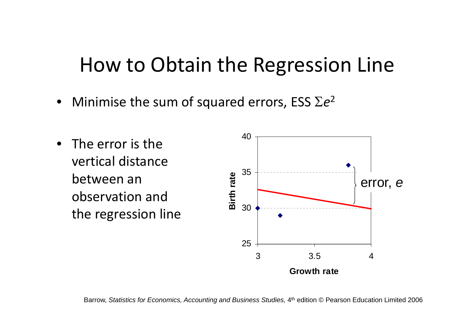#### How to Obtain the Regression Line

- Minimise the sum of squared errors, ESS  $\Sigma e^{2}$
- $\bullet$  $\bullet$  The error is the vertical distancebetween an observation and the regression line

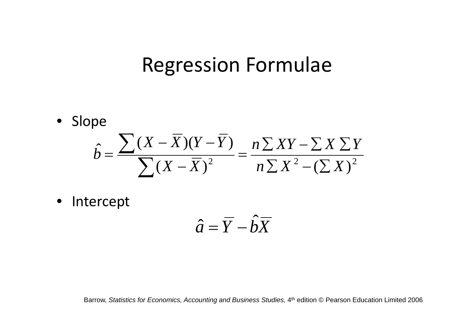#### Regression Formulae

• Slope

$$
\hat{b} = \frac{\sum (X - \overline{X})(Y - \overline{Y})}{\sum (X - \overline{X})^2} = \frac{n \sum XY - \sum X \sum Y}{n \sum X^2 - (\sum X)^2}
$$

• Intercept

$$
\hat{a} = \overline{Y} - \hat{b}\overline{X}
$$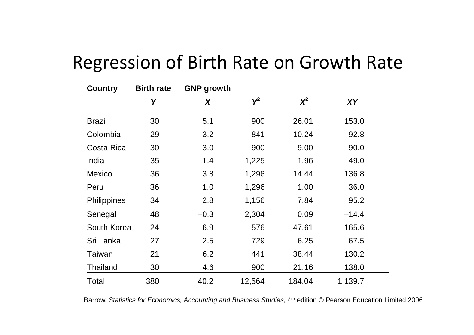#### Regression of Birth Rate on Growth Rate

| <b>Country</b>     | <b>Birth rate</b> | <b>GNP</b> growth |        |          |         |  |
|--------------------|-------------------|-------------------|--------|----------|---------|--|
|                    | Y                 | X                 | $Y^2$  | $\chi^2$ | XY      |  |
| <b>Brazil</b>      | 30                | 5.1               | 900    | 26.01    | 153.0   |  |
| Colombia           | 29                | 3.2               | 841    | 10.24    | 92.8    |  |
| Costa Rica         | 30                | 3.0               | 900    | 9.00     | 90.0    |  |
| India              | 35                | 1.4               | 1,225  | 1.96     | 49.0    |  |
| <b>Mexico</b>      | 36                | 3.8               | 1,296  | 14.44    | 136.8   |  |
| Peru               | 36                | 1.0               | 1,296  | 1.00     | 36.0    |  |
| <b>Philippines</b> | 34                | 2.8               | 1,156  | 7.84     | 95.2    |  |
| Senegal            | 48                | $-0.3$            | 2,304  | 0.09     | $-14.4$ |  |
| South Korea        | 24                | 6.9               | 576    | 47.61    | 165.6   |  |
| Sri Lanka          | 27                | 2.5               | 729    | 6.25     | 67.5    |  |
| Taiwan             | 21                | 6.2               | 441    | 38.44    | 130.2   |  |
| <b>Thailand</b>    | 30                | 4.6               | 900    | 21.16    | 138.0   |  |
| Total              | 380               | 40.2              | 12,564 | 184.04   | 1,139.7 |  |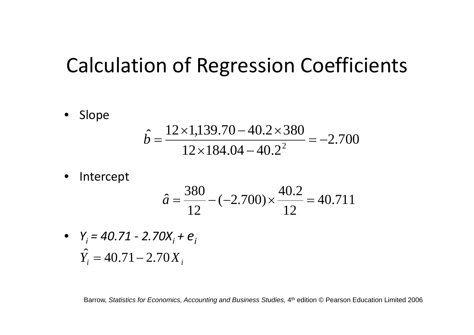#### Calculation of Regression Coefficients

 $\bullet$ Slope

$$
\hat{b} = \frac{12 \times 1,139.70 - 40.2 \times 380}{12 \times 184.04 - 40.2^2} = -2.700
$$

 $\bullet$ Intercept

$$
\hat{a} = \frac{380}{12} - (-2.700) \times \frac{40.2}{12} = 40.711
$$

•  $Y_i = 40.71 - 2.70X_i + e_i$  $\hat{Y}_i = 40.71 - 2.70X_i$  $\alpha = 40.71 -$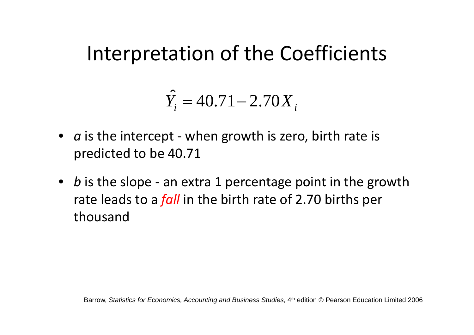#### Interpretation of the Coefficients

$$
\hat{Y}_i = 40.71 - 2.70X_i
$$

- *a* is the intercept ‐ when growth is zero, birth rate is predicted to be 40.71
- *b* is the slope ‐ an extra 1 percentage point in the growth rate leads to <sup>a</sup> *fall* in the birth rate of 2.70 births per thousand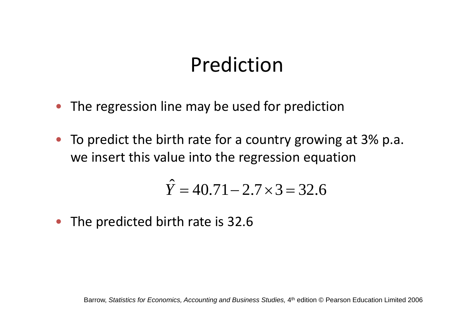#### Prediction

- $\bullet$ The regression line may be used for prediction
- To predict the birth rate for <sup>a</sup> country growing at 3% p.a. we insert this value into the regression equation

$$
\hat{Y} = 40.71 - 2.7 \times 3 = 32.6
$$

• The predicted birth rate is 32.6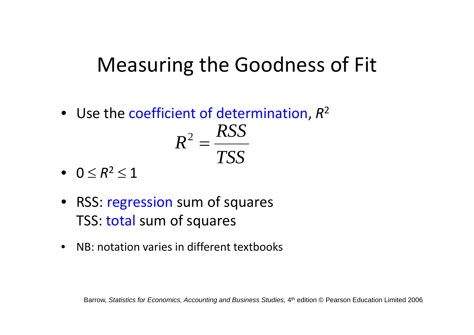# Measuring the Goodness of Fit

- Use the coefficient of determination, *R*<sup>2</sup> *RSS TSS*  $R^2 =$
- $\bullet\quad 0\leq R^{2}\leq1$
- RSS: regression sum of squares TSS: total sum of squares
- • $\bullet$  NB: notation varies in different textbooks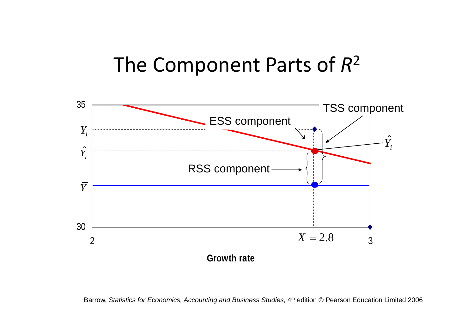#### The Component Parts of *R*<sup>2</sup>



Barrow, *Statistics for Economics, Accounting and Business Studies, 4<sup>th</sup> edition © Pearson Education Limited 2006*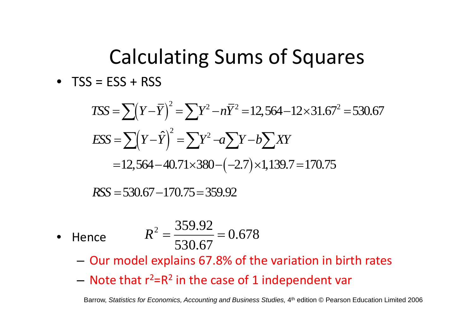# Calculating Sums of Squares • TSS <sup>=</sup> ESS <sup>+</sup> RSS

$$
TSS = \sum (Y - \overline{Y})^2 = \sum Y^2 - n\overline{Y}^2 = 12,564 - 12 \times 31.67^2 = 530.67
$$
  
\n
$$
ESS = \sum (Y - \hat{Y})^2 = \sum Y^2 - n\sum Y - b\sum XY
$$
  
\n
$$
= 12,564 - 40.71 \times 380 - (-2.7) \times 1,139.7 = 170.75
$$

*RSS* = 530.67 - 170.75 = 359.92

•Hence

$$
R^2 = \frac{359.92}{530.67} = 0.678
$$

- –Our model explains 67.8% of the variation in birth rates
- – $-$  Note that  $r^2$ =R<sup>2</sup> in the case of 1 independent var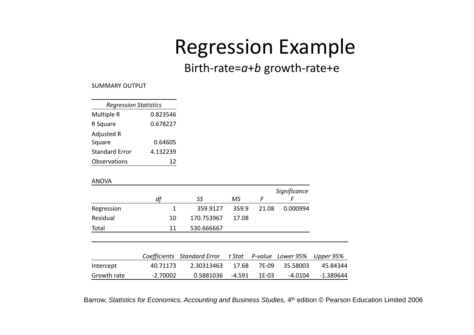# Regression Example

#### Birth‐rate=*a*<sup>+</sup>*b* growth‐rate+e

SUMMARY OUTPUT

| <b>Regression Statistics</b> |          |  |  |  |  |  |
|------------------------------|----------|--|--|--|--|--|
| Multiple R                   | 0.823546 |  |  |  |  |  |
| R Square                     | 0.678227 |  |  |  |  |  |
| <b>Adjusted R</b>            |          |  |  |  |  |  |
| Square                       | 0.64605  |  |  |  |  |  |
| <b>Standard Error</b>        | 4.132239 |  |  |  |  |  |
| Observations                 |          |  |  |  |  |  |

#### ANOVA

|             |            |                             |        |         | Significance |             |
|-------------|------------|-----------------------------|--------|---------|--------------|-------------|
|             | df         | SS                          | МS     | F       | F            |             |
| Regression  | 1          | 359.9127                    | 359.9  | 21.08   | 0.000994     |             |
| Residual    | 10         | 170.753967                  | 17.08  |         |              |             |
| Total       | 11         | 530.666667                  |        |         |              |             |
|             |            |                             |        |         |              |             |
|             |            | Coefficients Standard Error | t Stat | P-value | Lower 95%    | Upper 95%   |
| Intercept   | 40.71173   | 2.30313463                  | 17.68  | 7E-09   | 35.58003     | 45.84344    |
| Growth rate | $-2.70002$ | 0.5881036                   | -4.591 | $1E-03$ | $-4.0104$    | $-1.389644$ |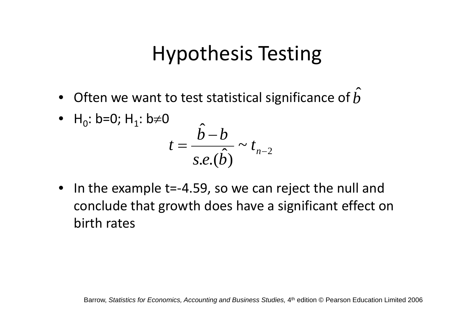# Hypothesis Testing

- ˆ• Often we want to test statistical significance of *b*
- H<sub>0</sub>: b=0; H<sub>1</sub>: b≠0 *b b*  $\overline{e\cdot(\hat{b})} \sim t_{n-2}$  $=\frac{1}{\sqrt{2}}\sim t_n$ *s e b t*  $(b)$
- In the example t=‐4.59, so we can reject the null and conclude that growth does have <sup>a</sup> significant effect on birth rates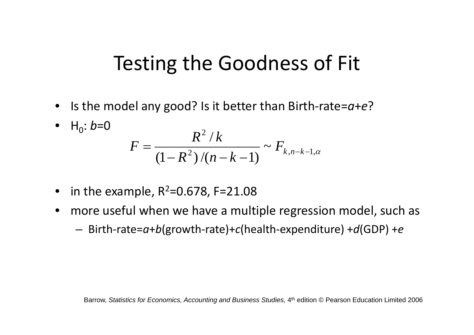#### Testing the Goodness of Fit

- Is the model any good? Is it better than Birth‐rate=*a*+*e*?
- $H_0: b=0$  $2\sqrt{1}$  1,  $2\sqrt{k}$ ,  $n-k-1$ ,  $\alpha$ 2  $\frac{(1 - R^2)}{(n - k - 1)}$ /  $(R^{2})/(n-k-1)$   $\kappa, n-k-1$  $F = \frac{R^2/k}{(1-R^2)/(n-k-1)} \sim F_{k,n-k}$
- in the example,  $R^2$ =0.678, F=21.08
- more useful when we have <sup>a</sup> multiple regression model, such as
	- Birth‐rate=*a*<sup>+</sup>*b*(growth‐rate)+*c*(health‐expenditure) <sup>+</sup>*d*(GDP) <sup>+</sup>*<sup>e</sup>*